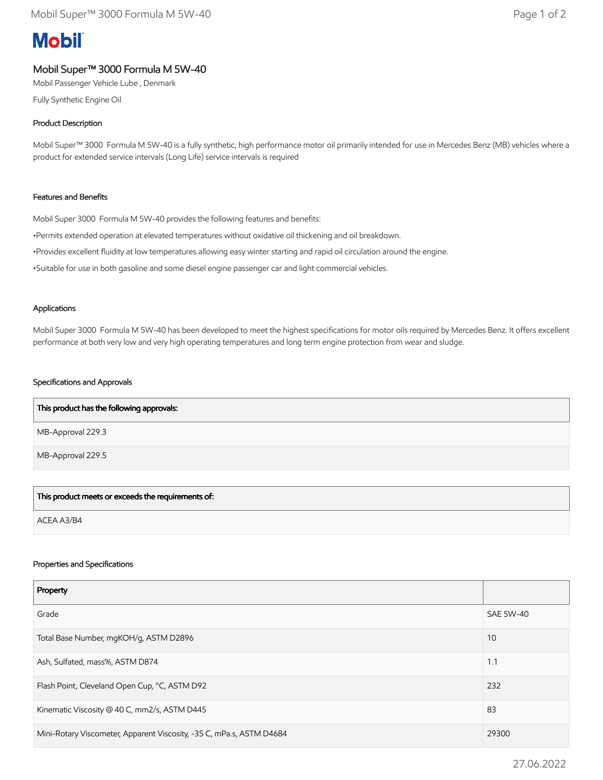# **Mobil**

## Mobil Super™ 3000 Formula M 5W-40

Mobil Passenger Vehicle Lube , Denmark

Fully Synthetic Engine Oil

### Product Description

Mobil Super™ 3000 Formula M 5W-40 is a fully synthetic, high performance motor oil primarily intended for use in Mercedes Benz (MB) vehicles where a product for extended service intervals (Long Life) service intervals is required

#### Features and Benefits

Mobil Super 3000 Formula M 5W-40 provides the following features and benefits:

•Permits extended operation at elevated temperatures without oxidative oil thickening and oil breakdown.

•Provides excellent fluidity at low temperatures allowing easy winter starting and rapid oil circulation around the engine.

•Suitable for use in both gasoline and some diesel engine passenger car and light commercial vehicles.

#### Applications

Mobil Super 3000 Formula M 5W-40 has been developed to meet the highest specifications for motor oils required by Mercedes Benz. It offers excellent performance at both very low and very high operating temperatures and long term engine protection from wear and sludge.

#### Specifications and Approvals

| This product has the following approvals: |  |
|-------------------------------------------|--|
| MB-Approval 229.3                         |  |
| MB-Approval 229.5                         |  |

This product meets or exceeds the requirements of:

ACEA A3/B4

#### Properties and Specifications

| Property                                                             |                  |
|----------------------------------------------------------------------|------------------|
| Grade                                                                | <b>SAE 5W-40</b> |
| Total Base Number, mgKOH/g, ASTM D2896                               | 10               |
| Ash, Sulfated, mass%, ASTM D874                                      | 1.1              |
| Flash Point, Cleveland Open Cup, °C, ASTM D92                        | 232              |
| Kinematic Viscosity @ 40 C, mm2/s, ASTM D445                         | 83               |
| Mini-Rotary Viscometer, Apparent Viscosity, -35 C, mPa.s, ASTM D4684 | 29300            |